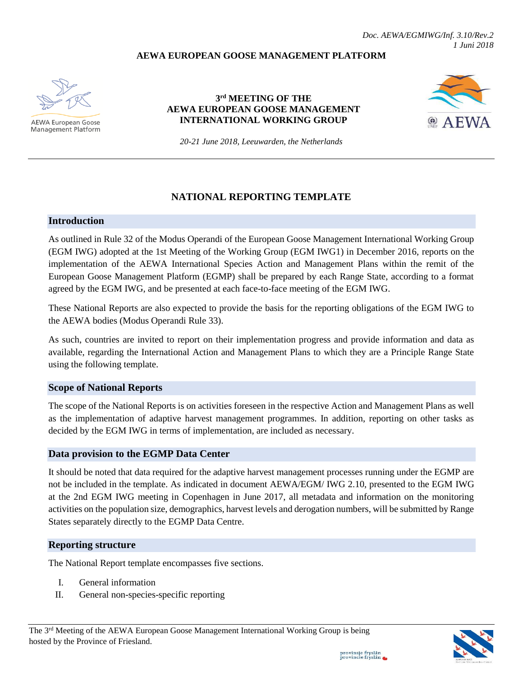### **AEWA EUROPEAN GOOSE MANAGEMENT PLATFORM**



**AEWA European Goose Management Platform** 

### **3 rd MEETING OF THE AEWA EUROPEAN GOOSE MANAGEMENT INTERNATIONAL WORKING GROUP**



*20-21 June 2018, Leeuwarden, the Netherlands*

# **NATIONAL REPORTING TEMPLATE**

#### **Introduction**

As outlined in Rule 32 of the Modus Operandi of the European Goose Management International Working Group (EGM IWG) adopted at the 1st Meeting of the Working Group (EGM IWG1) in December 2016, reports on the implementation of the AEWA International Species Action and Management Plans within the remit of the European Goose Management Platform (EGMP) shall be prepared by each Range State, according to a format agreed by the EGM IWG, and be presented at each face-to-face meeting of the EGM IWG.

These National Reports are also expected to provide the basis for the reporting obligations of the EGM IWG to the AEWA bodies (Modus Operandi Rule 33).

As such, countries are invited to report on their implementation progress and provide information and data as available, regarding the International Action and Management Plans to which they are a Principle Range State using the following template.

#### **Scope of National Reports**

The scope of the National Reports is on activities foreseen in the respective Action and Management Plans as well as the implementation of adaptive harvest management programmes. In addition, reporting on other tasks as decided by the EGM IWG in terms of implementation, are included as necessary.

#### **Data provision to the EGMP Data Center**

It should be noted that data required for the adaptive harvest management processes running under the EGMP are not be included in the template. As indicated in document AEWA/EGM/ IWG 2.10, presented to the EGM IWG at the 2nd EGM IWG meeting in Copenhagen in June 2017, all metadata and information on the monitoring activities on the population size, demographics, harvest levels and derogation numbers, will be submitted by Range States separately directly to the EGMP Data Centre.

# **Reporting structure**

The National Report template encompasses five sections.

- I. General information
- II. General non-species-specific reporting

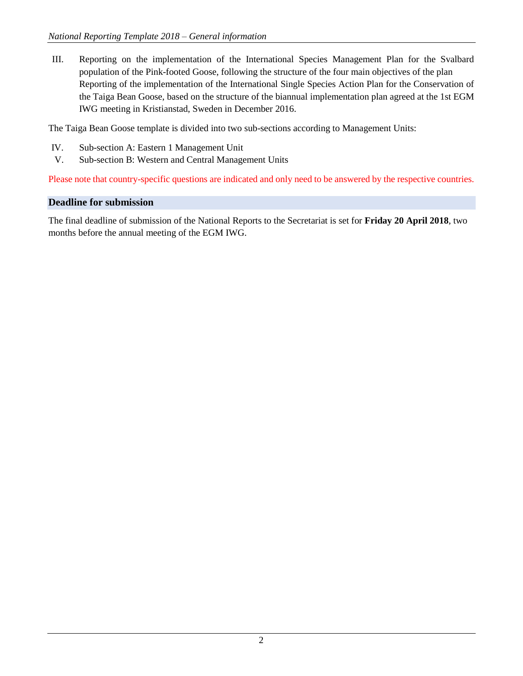III. Reporting on the implementation of the International Species Management Plan for the Svalbard population of the Pink-footed Goose, following the structure of the four main objectives of the plan Reporting of the implementation of the International Single Species Action Plan for the Conservation of the Taiga Bean Goose, based on the structure of the biannual implementation plan agreed at the 1st EGM IWG meeting in Kristianstad, Sweden in December 2016.

The Taiga Bean Goose template is divided into two sub-sections according to Management Units:

- IV. Sub-section A: Eastern 1 Management Unit
- V. Sub-section B: Western and Central Management Units

Please note that country-specific questions are indicated and only need to be answered by the respective countries.

# **Deadline for submission**

The final deadline of submission of the National Reports to the Secretariat is set for **Friday 20 April 2018**, two months before the annual meeting of the EGM IWG.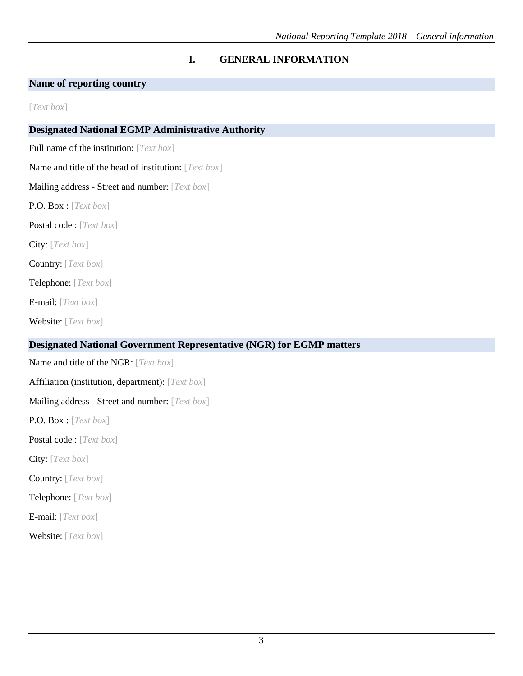# **I. GENERAL INFORMATION**

# **Name of reporting country**

[*Text box*]

# **Designated National EGMP Administrative Authority**

Full name of the institution: [*Text box*]

Name and title of the head of institution: [*Text box*]

Mailing address - Street and number: [*Text box*]

P.O. Box : [*Text box*]

Postal code : [*Text box*]

City: [*Text box*]

Country: [*Text box*]

Telephone: [*Text box*]

E-mail: [*Text box*]

Website: [*Text box*]

# **Designated National Government Representative (NGR) for EGMP matters**

Name and title of the NGR: [*Text box*] Affiliation (institution, department): [*Text box*] Mailing address - Street and number: [*Text box*]

P.O. Box : [*Text box*]

Postal code : [*Text box*]

City: [*Text box*]

Country: [*Text box*]

Telephone: [*Text box*]

E-mail: [*Text box*]

Website: [*Text box*]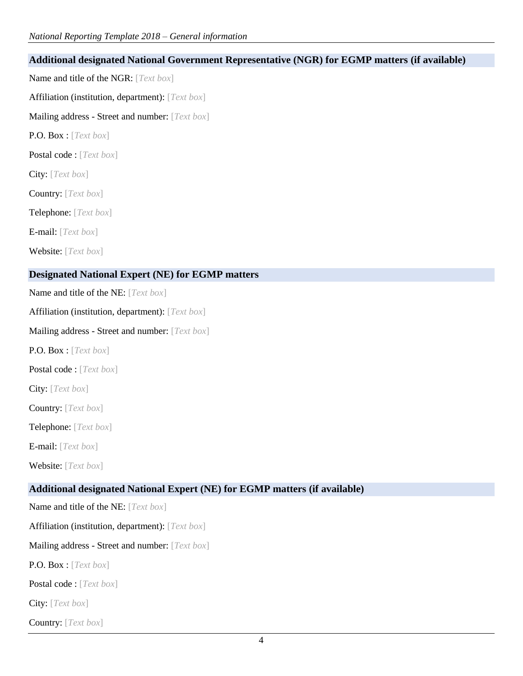| Additional designated National Government Representative (NGR) for EGMP matters (if available) |
|------------------------------------------------------------------------------------------------|
| Name and title of the NGR: [Text box]                                                          |
| Affiliation (institution, department): [Text box]                                              |
| Mailing address - Street and number: [Text box]                                                |
| P.O. Box: [Text box]                                                                           |
| Postal code: [Text box]                                                                        |
| City: [Text box]                                                                               |
| Country: [Text box]                                                                            |
| Telephone: [Text box]                                                                          |
| E-mail: $[Text box]$                                                                           |
| Website: [Text box]                                                                            |
| <b>Designated National Expert (NE) for EGMP matters</b>                                        |
| Name and title of the NE: [Text box]                                                           |
| Affiliation (institution, department): [Text box]                                              |
| Mailing address - Street and number: [Text box]                                                |
| <b>P.O. Box:</b> [ <i>Text box</i> ]                                                           |
| Postal code : [Text box]                                                                       |
| City: [Text box]                                                                               |
| Country: [Text box]                                                                            |
| Telephone: [Text box]                                                                          |
| E-mail: $[Text box]$                                                                           |
| Website: [Text box]                                                                            |
| Additional designated National Expert (NE) for EGMP matters (if available)                     |
| Name and title of the NE: [Text box]                                                           |
| Affiliation (institution, department): [Text box]                                              |
| Mailing address - Street and number: [Text box]                                                |
| <b>P.O. Box</b> : [ <i>Text box</i> ]                                                          |
| Postal code: [Text box]                                                                        |

City: [*Text box*]

Country: [*Text box*]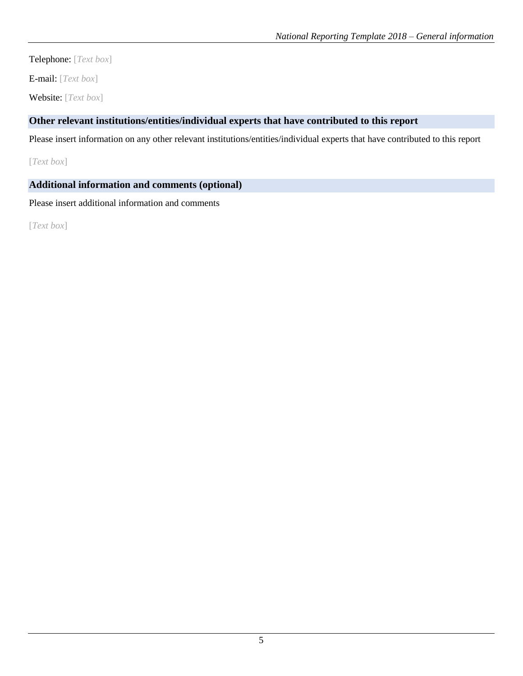Telephone: [*Text box*]

E-mail: [*Text box*]

Website: [*Text box*]

# **Other relevant institutions/entities/individual experts that have contributed to this report**

Please insert information on any other relevant institutions/entities/individual experts that have contributed to this report

[*Text box*]

# **Additional information and comments (optional)**

Please insert additional information and comments

[*Text box*]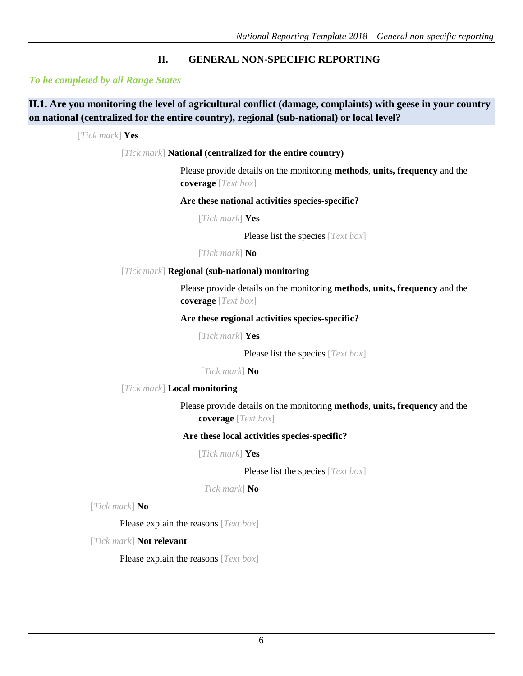# **II. GENERAL NON-SPECIFIC REPORTING**

# *To be completed by all Range States*

# **II.1. Are you monitoring the level of agricultural conflict (damage, complaints) with geese in your country on national (centralized for the entire country), regional (sub-national) or local level?**

[*Tick mark*] **Yes**

[*Tick mark*] **National (centralized for the entire country)**

Please provide details on the monitoring **methods**, **units, frequency** and the **coverage** [*Text box*]

**Are these national activities species-specific?**

[*Tick mark*] **Yes**

Please list the species [*Text box*]

[*Tick mark*] **No**

### [*Tick mark*] **Regional (sub-national) monitoring**

Please provide details on the monitoring **methods**, **units, frequency** and the **coverage** [*Text box*]

#### **Are these regional activities species-specific?**

[*Tick mark*] **Yes** 

Please list the species [*Text box*]

[*Tick mark*] **No**

[*Tick mark*] **Local monitoring**

Please provide details on the monitoring **methods**, **units, frequency** and the **coverage** [*Text box*]

### **Are these local activities species-specific?**

[*Tick mark*] **Yes** 

Please list the species [*Text box*]

[*Tick mark*] **No**

[*Tick mark*] **No**

Please explain the reasons [*Text box*]

[*Tick mark*] **Not relevant**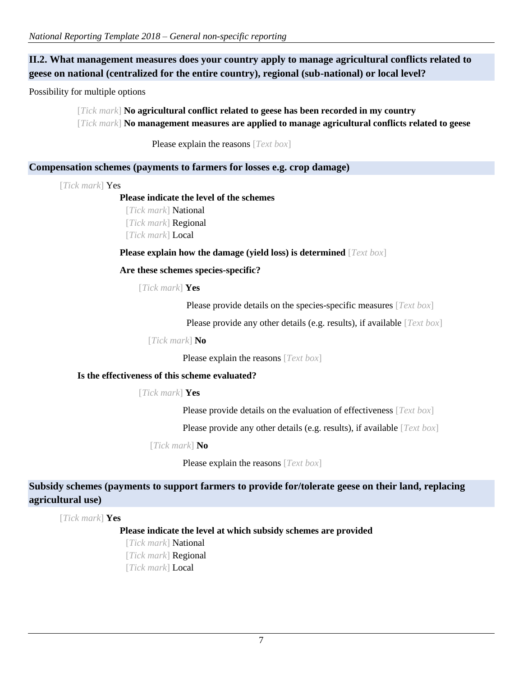# **II.2. What management measures does your country apply to manage agricultural conflicts related to geese on national (centralized for the entire country), regional (sub-national) or local level?**

Possibility for multiple options

[*Tick mark*] **No agricultural conflict related to geese has been recorded in my country** [*Tick mark*] **No management measures are applied to manage agricultural conflicts related to geese**

Please explain the reasons [*Text box*]

### **Compensation schemes (payments to farmers for losses e.g. crop damage)**

[*Tick mark*] Yes

#### **Please indicate the level of the schemes**

[*Tick mark*] National [*Tick mark*] Regional [*Tick mark*] Local

**Please explain how the damage (yield loss) is determined** [*Text box*]

# **Are these schemes species-specific?**

[*Tick mark*] **Yes**

Please provide details on the species-specific measures [*Text box*]

Please provide any other details (e.g. results), if available [*Text box*]

[*Tick mark*] **No**

Please explain the reasons [*Text box*]

# **Is the effectiveness of this scheme evaluated?**

[*Tick mark*] **Yes**

Please provide details on the evaluation of effectiveness [*Text box*]

Please provide any other details (e.g. results), if available [*Text box*]

#### [*Tick mark*] **No**

Please explain the reasons [*Text box*]

# **Subsidy schemes (payments to support farmers to provide for/tolerate geese on their land, replacing agricultural use)**

[*Tick mark*] **Yes**

**Please indicate the level at which subsidy schemes are provided**

[*Tick mark*] National [*Tick mark*] Regional [*Tick mark*] Local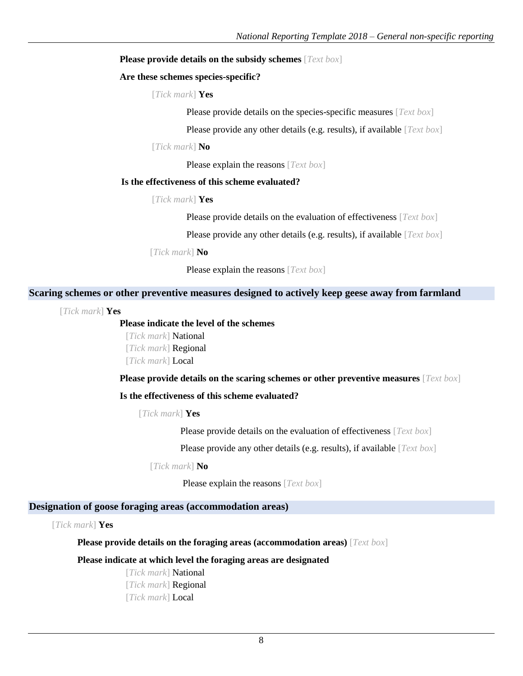#### **Please provide details on the subsidy schemes** [*Text box*]

#### **Are these schemes species-specific?**

### [*Tick mark*] **Yes**

Please provide details on the species-specific measures [*Text box*]

Please provide any other details (e.g. results), if available [*Text box*]

#### [*Tick mark*] **No**

Please explain the reasons [*Text box*]

#### **Is the effectiveness of this scheme evaluated?**

#### [*Tick mark*] **Yes**

Please provide details on the evaluation of effectiveness [*Text box*]

Please provide any other details (e.g. results), if available [*Text box*]

[*Tick mark*] **No**

Please explain the reasons [*Text box*]

#### **Scaring schemes or other preventive measures designed to actively keep geese away from farmland**

[*Tick mark*] **Yes**

### **Please indicate the level of the schemes**

[*Tick mark*] National [*Tick mark*] Regional [*Tick mark*] Local

**Please provide details on the scaring schemes or other preventive measures** [*Text box*]

#### **Is the effectiveness of this scheme evaluated?**

[*Tick mark*] **Yes**

Please provide details on the evaluation of effectiveness [*Text box*]

Please provide any other details (e.g. results), if available [*Text box*]

[*Tick mark*] **No**

Please explain the reasons [*Text box*]

# **Designation of goose foraging areas (accommodation areas)**

[*Tick mark*] **Yes**

**Please provide details on the foraging areas (accommodation areas)** [*Text box*]

# **Please indicate at which level the foraging areas are designated**

[*Tick mark*] National [*Tick mark*] Regional [*Tick mark*] Local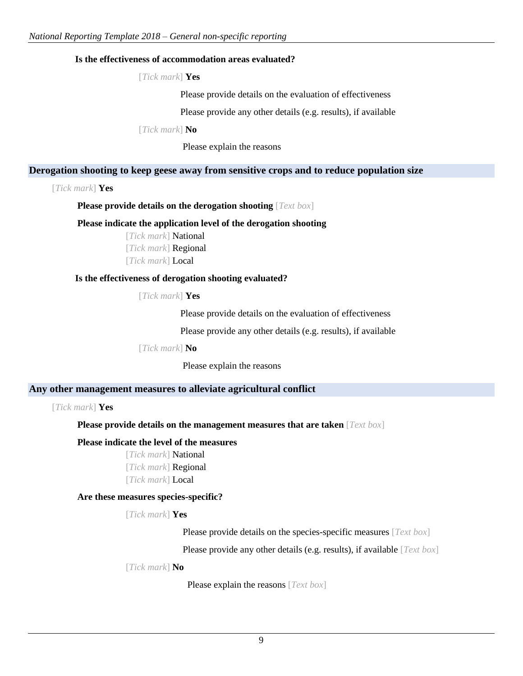### **Is the effectiveness of accommodation areas evaluated?**

[*Tick mark*] **Yes**

Please provide details on the evaluation of effectiveness

Please provide any other details (e.g. results), if available

[*Tick mark*] **No**

Please explain the reasons

### **Derogation shooting to keep geese away from sensitive crops and to reduce population size**

[*Tick mark*] **Yes**

**Please provide details on the derogation shooting** [*Text box*]

#### **Please indicate the application level of the derogation shooting**

[*Tick mark*] National [*Tick mark*] Regional [*Tick mark*] Local

#### **Is the effectiveness of derogation shooting evaluated?**

[*Tick mark*] **Yes**

Please provide details on the evaluation of effectiveness

Please provide any other details (e.g. results), if available

[*Tick mark*] **No**

Please explain the reasons

# **Any other management measures to alleviate agricultural conflict**

[*Tick mark*] **Yes**

**Please provide details on the management measures that are taken** [*Text box*]

### **Please indicate the level of the measures**

[*Tick mark*] National [*Tick mark*] Regional [*Tick mark*] Local

#### **Are these measures species-specific?**

[*Tick mark*] **Yes**

Please provide details on the species-specific measures [*Text box*]

Please provide any other details (e.g. results), if available [*Text box*]

[*Tick mark*] **No**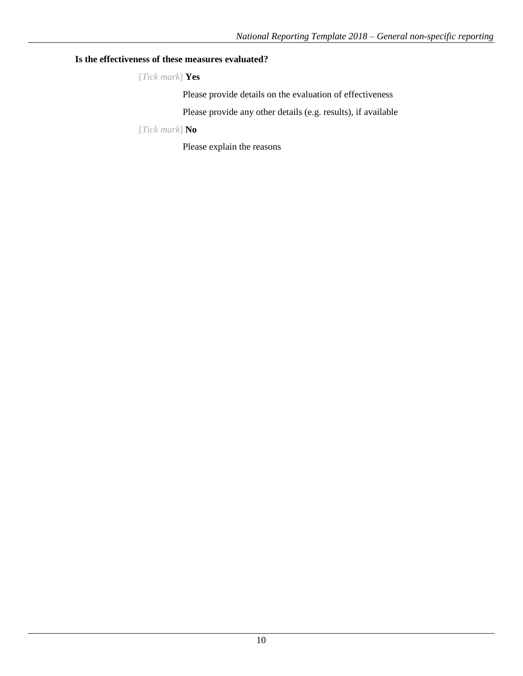# **Is the effectiveness of these measures evaluated?**

[*Tick mark*] **Yes**

Please provide details on the evaluation of effectiveness

Please provide any other details (e.g. results), if available

[*Tick mark*] **No**

Please explain the reasons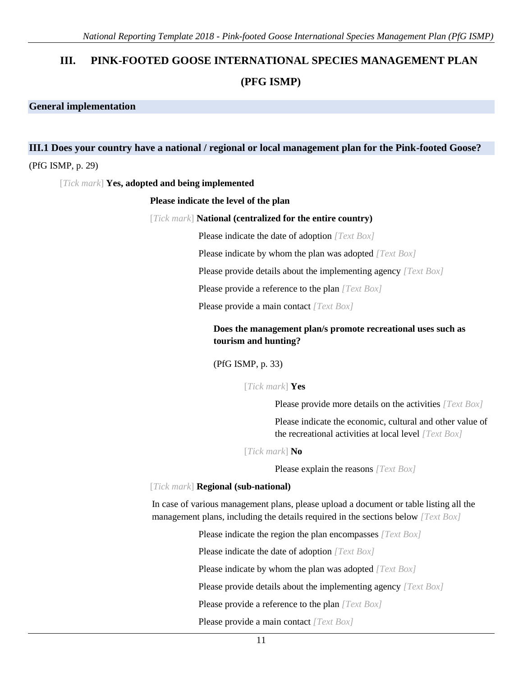# **III. PINK-FOOTED GOOSE INTERNATIONAL SPECIES MANAGEMENT PLAN (PFG ISMP)**

#### **General implementation**

# **III.1 Does your country have a national / regional or local management plan for the Pink-footed Goose?**

#### (PfG ISMP, p. 29)

[*Tick mark*] **Yes, adopted and being implemented**

#### **Please indicate the level of the plan**

#### [*Tick mark*] **National (centralized for the entire country)**

Please indicate the date of adoption *[Text Box]*

Please indicate by whom the plan was adopted *[Text Box]*

Please provide details about the implementing agency *[Text Box]*

Please provide a reference to the plan *[Text Box]*

Please provide a main contact *[Text Box]*

# **Does the management plan/s promote recreational uses such as tourism and hunting?**

#### (PfG ISMP, p. 33)

[*Tick mark*] **Yes**

Please provide more details on the activities *[Text Box]*

Please indicate the economic, cultural and other value of the recreational activities at local level *[Text Box]*

[*Tick mark*] **No**

Please explain the reasons *[Text Box]*

#### [*Tick mark*] **Regional (sub-national)**

In case of various management plans, please upload a document or table listing all the management plans, including the details required in the sections below *[Text Box]*

Please indicate the region the plan encompasses *[Text Box]*

Please indicate the date of adoption *[Text Box]*

Please indicate by whom the plan was adopted *[Text Box]*

Please provide details about the implementing agency *[Text Box]*

Please provide a reference to the plan *[Text Box]*

Please provide a main contact *[Text Box]*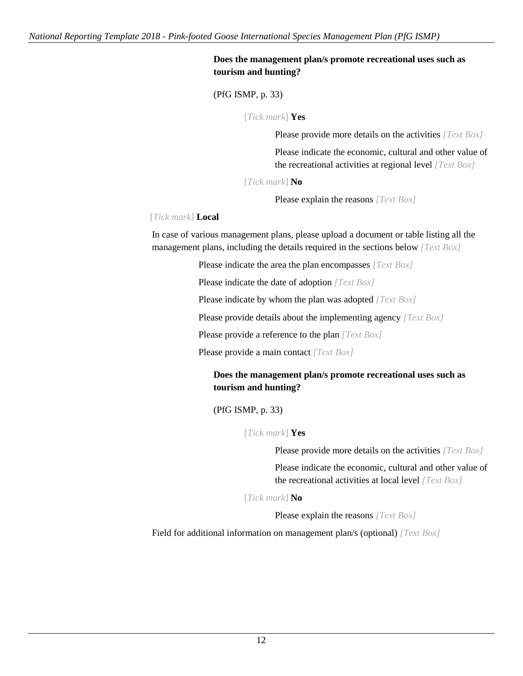# **Does the management plan/s promote recreational uses such as tourism and hunting?**

(PfG ISMP, p. 33)

[*Tick mark*] **Yes**

Please provide more details on the activities *[Text Box]*

Please indicate the economic, cultural and other value of the recreational activities at regional level *[Text Box]*

[*Tick mark*] **No**

Please explain the reasons *[Text Box]*

### [*Tick mark*] **Local**

In case of various management plans, please upload a document or table listing all the management plans, including the details required in the sections below *[Text Box]*

Please indicate the area the plan encompasses *[Text Box]*

Please indicate the date of adoption *[Text Box]*

Please indicate by whom the plan was adopted *[Text Box]*

Please provide details about the implementing agency *[Text Box]*

Please provide a reference to the plan *[Text Box]*

Please provide a main contact *[Text Box]*

# **Does the management plan/s promote recreational uses such as tourism and hunting?**

(PfG ISMP, p. 33)

[*Tick mark*] **Yes**

Please provide more details on the activities *[Text Box]*

Please indicate the economic, cultural and other value of the recreational activities at local level *[Text Box]*

[*Tick mark*] **No**

Please explain the reasons *[Text Box]*

Field for additional information on management plan/s (optional) *[Text Box]*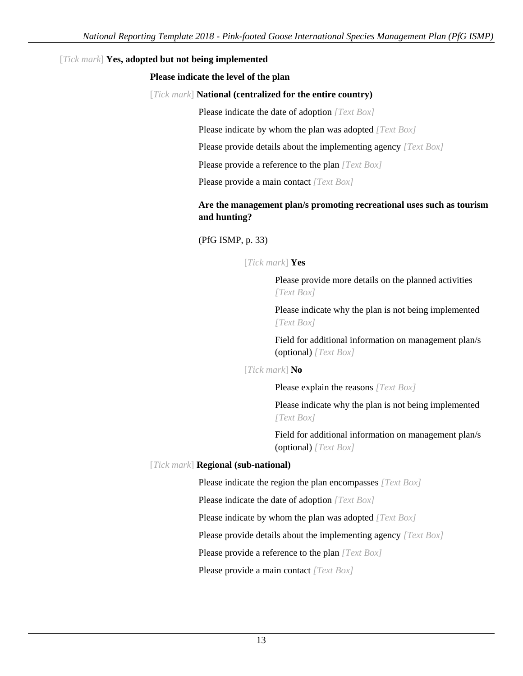# [*Tick mark*] **Yes, adopted but not being implemented**

### **Please indicate the level of the plan**

### [*Tick mark*] **National (centralized for the entire country)**

Please indicate the date of adoption *[Text Box]*

Please indicate by whom the plan was adopted *[Text Box]*

Please provide details about the implementing agency *[Text Box]*

Please provide a reference to the plan *[Text Box]*

Please provide a main contact *[Text Box]*

# **Are the management plan/s promoting recreational uses such as tourism and hunting?**

(PfG ISMP, p. 33)

# [*Tick mark*] **Yes**

Please provide more details on the planned activities *[Text Box]*

Please indicate why the plan is not being implemented *[Text Box]*

Field for additional information on management plan/s (optional) *[Text Box]*

#### [*Tick mark*] **No**

Please explain the reasons *[Text Box]*

Please indicate why the plan is not being implemented *[Text Box]*

Field for additional information on management plan/s (optional) *[Text Box]*

# [*Tick mark*] **Regional (sub-national)**

Please indicate the region the plan encompasses *[Text Box]*

Please indicate the date of adoption *[Text Box]*

Please indicate by whom the plan was adopted *[Text Box]*

Please provide details about the implementing agency *[Text Box]*

Please provide a reference to the plan *[Text Box]*

Please provide a main contact *[Text Box]*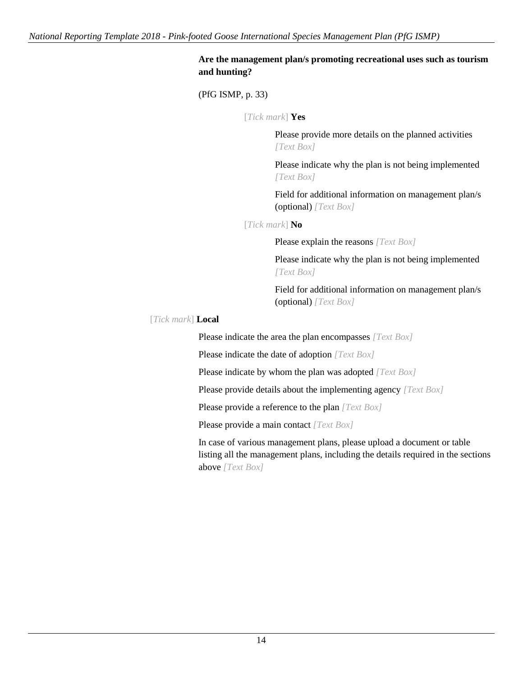# **Are the management plan/s promoting recreational uses such as tourism and hunting?**

(PfG ISMP, p. 33)

[*Tick mark*] **Yes**

Please provide more details on the planned activities *[Text Box]*

Please indicate why the plan is not being implemented *[Text Box]*

Field for additional information on management plan/s (optional) *[Text Box]*

[*Tick mark*] **No**

Please explain the reasons *[Text Box]*

Please indicate why the plan is not being implemented *[Text Box]*

Field for additional information on management plan/s (optional) *[Text Box]*

[*Tick mark*] **Local**

Please indicate the area the plan encompasses *[Text Box]*

Please indicate the date of adoption *[Text Box]*

Please indicate by whom the plan was adopted *[Text Box]*

Please provide details about the implementing agency *[Text Box]*

Please provide a reference to the plan *[Text Box]*

Please provide a main contact *[Text Box]*

In case of various management plans, please upload a document or table listing all the management plans, including the details required in the sections above *[Text Box]*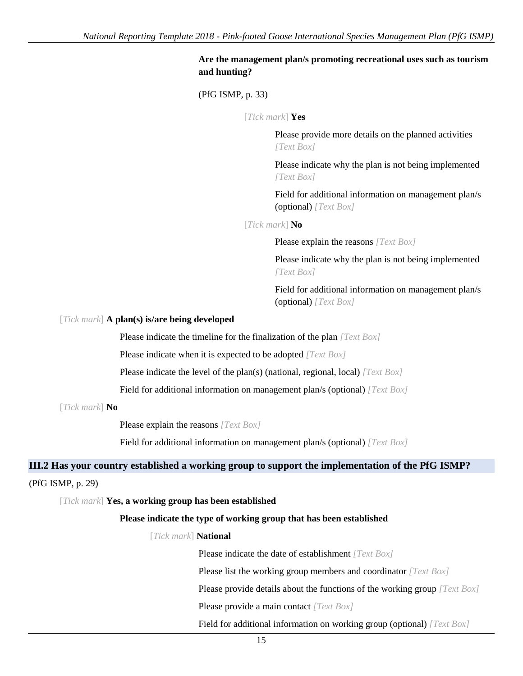# **Are the management plan/s promoting recreational uses such as tourism and hunting?**

(PfG ISMP, p. 33)

[*Tick mark*] **Yes**

Please provide more details on the planned activities *[Text Box]*

Please indicate why the plan is not being implemented *[Text Box]*

Field for additional information on management plan/s (optional) *[Text Box]*

[*Tick mark*] **No**

Please explain the reasons *[Text Box]*

Please indicate why the plan is not being implemented *[Text Box]*

Field for additional information on management plan/s (optional) *[Text Box]*

#### [*Tick mark*] **A plan(s) is/are being developed**

Please indicate the timeline for the finalization of the plan *[Text Box]*

Please indicate when it is expected to be adopted *[Text Box]*

Please indicate the level of the plan(s) (national, regional, local) *[Text Box]*

Field for additional information on management plan/s (optional) *[Text Box]*

[*Tick mark*] **No**

Please explain the reasons *[Text Box]*

Field for additional information on management plan/s (optional) *[Text Box]*

### **III.2 Has your country established a working group to support the implementation of the PfG ISMP?**

### (PfG ISMP, p. 29)

[*Tick mark*] **Yes, a working group has been established**

#### **Please indicate the type of working group that has been established**

[*Tick mark*] **National**

Please indicate the date of establishment *[Text Box]*

Please list the working group members and coordinator *[Text Box]*

Please provide details about the functions of the working group *[Text Box]*

Please provide a main contact *[Text Box]*

Field for additional information on working group (optional) *[Text Box]*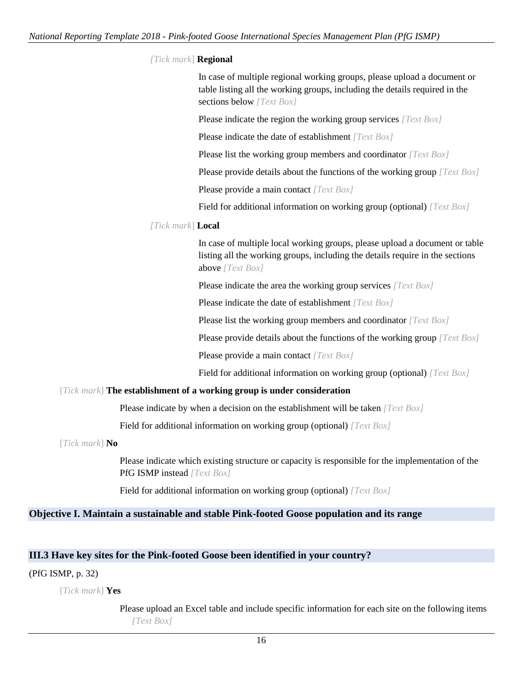### *[Tick mark*] **Regional**

In case of multiple regional working groups, please upload a document or table listing all the working groups, including the details required in the sections below *[Text Box]*

Please indicate the region the working group services *[Text Box]*

Please indicate the date of establishment *[Text Box]*

Please list the working group members and coordinator *[Text Box]*

Please provide details about the functions of the working group *[Text Box]*

Please provide a main contact *[Text Box]*

Field for additional information on working group (optional) *[Text Box]*

# *[Tick mark*] **Local**

In case of multiple local working groups, please upload a document or table listing all the working groups, including the details require in the sections above *[Text Box]*

Please indicate the area the working group services *[Text Box]*

Please indicate the date of establishment *[Text Box]*

Please list the working group members and coordinator *[Text Box]*

Please provide details about the functions of the working group *[Text Box]*

Please provide a main contact *[Text Box]*

Field for additional information on working group (optional) *[Text Box]*

#### [*Tick mark*] **The establishment of a working group is under consideration**

Please indicate by when a decision on the establishment will be taken *[Text Box]*

Field for additional information on working group (optional) *[Text Box]*

[*Tick mark*] **No**

Please indicate which existing structure or capacity is responsible for the implementation of the PfG ISMP instead *[Text Box]*

Field for additional information on working group (optional) *[Text Box]*

# **Objective I. Maintain a sustainable and stable Pink-footed Goose population and its range**

# **III.3 Have key sites for the Pink-footed Goose been identified in your country?**

# (PfG ISMP, p. 32)

[*Tick mark*] **Yes**

Please upload an Excel table and include specific information for each site on the following items *[Text Box]*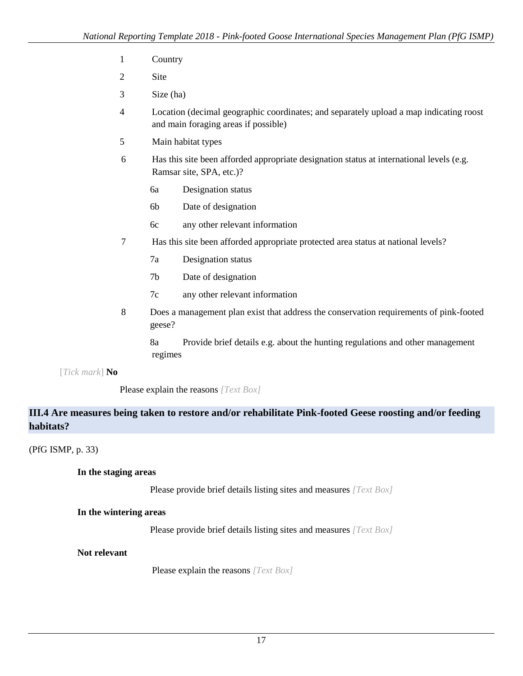- 1 Country
- 2 Site
- 3 Size (ha)
- 4 Location (decimal geographic coordinates; and separately upload a map indicating roost and main foraging areas if possible)
- 5 Main habitat types
- 6 Has this site been afforded appropriate designation status at international levels (e.g. Ramsar site, SPA, etc.)?
	- 6a Designation status
	- 6b Date of designation
	- 6c any other relevant information
- 7 Has this site been afforded appropriate protected area status at national levels?
	- 7a Designation status
	- 7b Date of designation
	- 7c any other relevant information
- 8 Does a management plan exist that address the conservation requirements of pink-footed geese?

8a Provide brief details e.g. about the hunting regulations and other management regimes

[*Tick mark*] **No**

Please explain the reasons *[Text Box]*

# **III.4 Are measures being taken to restore and/or rehabilitate Pink-footed Geese roosting and/or feeding habitats?**

(PfG ISMP, p. 33)

# **In the staging areas**

Please provide brief details listing sites and measures *[Text Box]*

#### **In the wintering areas**

Please provide brief details listing sites and measures *[Text Box]*

**Not relevant**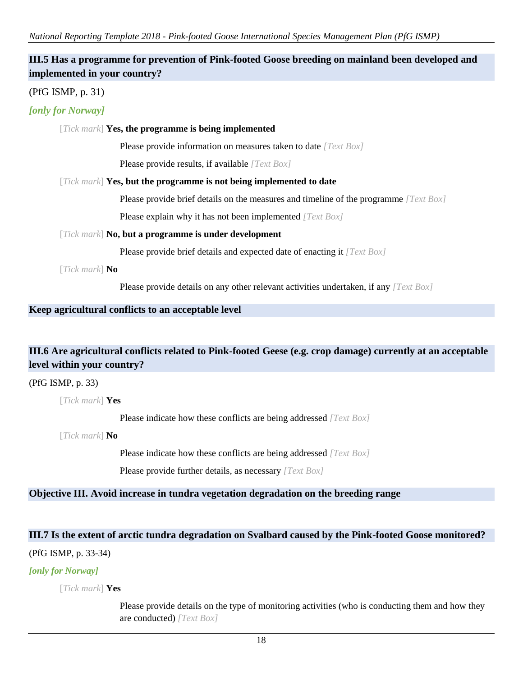*National Reporting Template 2018 - Pink-footed Goose International Species Management Plan (PfG ISMP)*

# **III.5 Has a programme for prevention of Pink-footed Goose breeding on mainland been developed and implemented in your country?**

# (PfG ISMP, p. 31)

# *[only for Norway]*

### [*Tick mark*] **Yes, the programme is being implemented**

Please provide information on measures taken to date *[Text Box]*

Please provide results, if available *[Text Box]*

#### [*Tick mark*] **Yes, but the programme is not being implemented to date**

Please provide brief details on the measures and timeline of the programme *[Text Box]*

Please explain why it has not been implemented *[Text Box]*

### [*Tick mark*] **No, but a programme is under development**

Please provide brief details and expected date of enacting it *[Text Box]*

[*Tick mark*] **No** 

Please provide details on any other relevant activities undertaken, if any *[Text Box]*

# **Keep agricultural conflicts to an acceptable level**

# **III.6 Are agricultural conflicts related to Pink-footed Geese (e.g. crop damage) currently at an acceptable level within your country?**

#### (PfG ISMP, p. 33)

[*Tick mark*] **Yes**

Please indicate how these conflicts are being addressed *[Text Box]*

[*Tick mark*] **No**

Please indicate how these conflicts are being addressed *[Text Box]*

Please provide further details, as necessary *[Text Box]*

# **Objective III. Avoid increase in tundra vegetation degradation on the breeding range**

# **III.7 Is the extent of arctic tundra degradation on Svalbard caused by the Pink-footed Goose monitored?**

(PfG ISMP, p. 33-34)

# *[only for Norway]*

[*Tick mark*] **Yes**

Please provide details on the type of monitoring activities (who is conducting them and how they are conducted) *[Text Box]*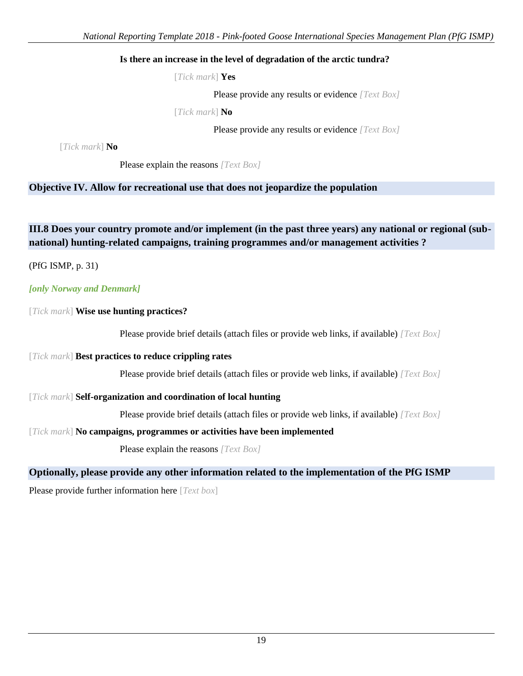# **Is there an increase in the level of degradation of the arctic tundra?**

[*Tick mark*] **Yes**

Please provide any results or evidence *[Text Box]*

[*Tick mark*] **No**

Please provide any results or evidence *[Text Box]*

[*Tick mark*] **No**

Please explain the reasons *[Text Box]*

# **Objective IV. Allow for recreational use that does not jeopardize the population**

**III.8 Does your country promote and/or implement (in the past three years) any national or regional (subnational) hunting-related campaigns, training programmes and/or management activities ?**

(PfG ISMP, p. 31)

# *[only Norway and Denmark]*

[*Tick mark*] **Wise use hunting practices?**

Please provide brief details (attach files or provide web links, if available) *[Text Box]*

### [*Tick mark*] **Best practices to reduce crippling rates**

Please provide brief details (attach files or provide web links, if available) *[Text Box]*

# [*Tick mark*] **Self-organization and coordination of local hunting**

Please provide brief details (attach files or provide web links, if available) *[Text Box]*

# [*Tick mark*] **No campaigns, programmes or activities have been implemented**

Please explain the reasons *[Text Box]*

# **Optionally, please provide any other information related to the implementation of the PfG ISMP**

Please provide further information here [*Text box*]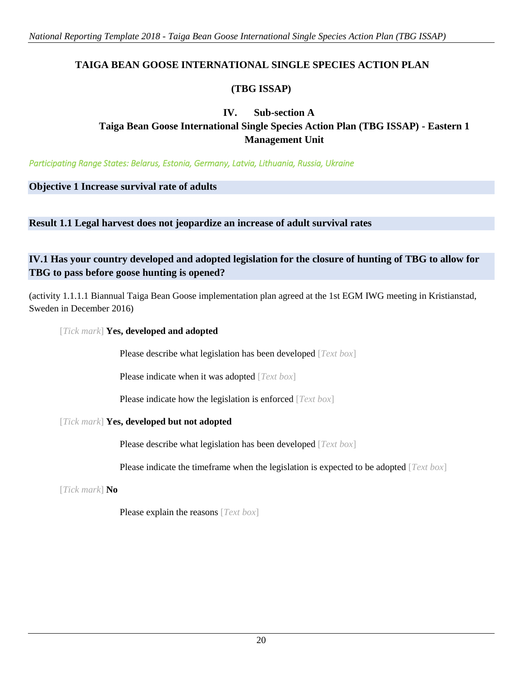# **TAIGA BEAN GOOSE INTERNATIONAL SINGLE SPECIES ACTION PLAN**

# **(TBG ISSAP)**

# **IV. Sub-section A Taiga Bean Goose International Single Species Action Plan (TBG ISSAP) - Eastern 1 Management Unit**

*Participating Range States: Belarus, Estonia, Germany, Latvia, Lithuania, Russia, Ukraine* 

**Objective 1 Increase survival rate of adults**

**Result 1.1 Legal harvest does not jeopardize an increase of adult survival rates**

# **IV.1 Has your country developed and adopted legislation for the closure of hunting of TBG to allow for TBG to pass before goose hunting is opened?**

(activity 1.1.1.1 Biannual Taiga Bean Goose implementation plan agreed at the 1st EGM IWG meeting in Kristianstad, Sweden in December 2016)

[*Tick mark*] **Yes, developed and adopted**

Please describe what legislation has been developed [*Text box*]

Please indicate when it was adopted [*Text box*]

Please indicate how the legislation is enforced [*Text box*]

# [*Tick mark*] **Yes, developed but not adopted**

Please describe what legislation has been developed [*Text box*]

Please indicate the timeframe when the legislation is expected to be adopted [*Text box*]

[*Tick mark*] **No**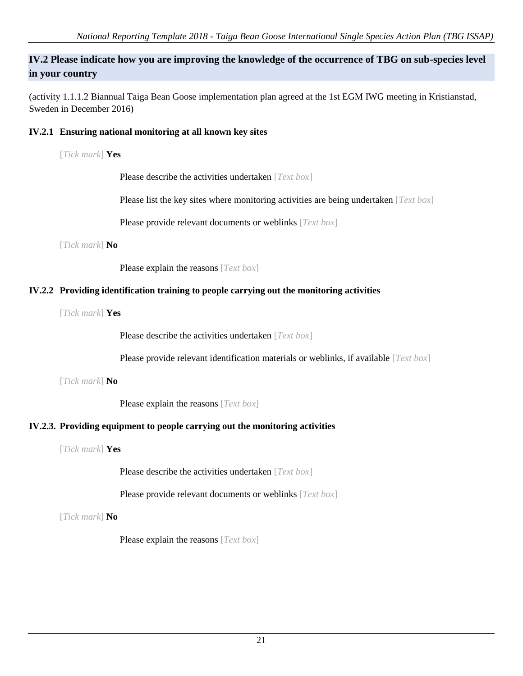# **IV.2 Please indicate how you are improving the knowledge of the occurrence of TBG on sub-species level in your country**

(activity 1.1.1.2 Biannual Taiga Bean Goose implementation plan agreed at the 1st EGM IWG meeting in Kristianstad, Sweden in December 2016)

# **IV.2.1 Ensuring national monitoring at all known key sites**

[*Tick mark*] **Yes**

Please describe the activities undertaken [*Text box*]

Please list the key sites where monitoring activities are being undertaken [*Text box*]

Please provide relevant documents or weblinks [*Text box*]

[*Tick mark*] **No**

Please explain the reasons [*Text box*]

# **IV.2.2 Providing identification training to people carrying out the monitoring activities**

[*Tick mark*] **Yes**

Please describe the activities undertaken [*Text box*]

Please provide relevant identification materials or weblinks, if available [*Text box*]

[*Tick mark*] **No**

Please explain the reasons [*Text box*]

# **IV.2.3. Providing equipment to people carrying out the monitoring activities**

[*Tick mark*] **Yes**

Please describe the activities undertaken [*Text box*]

Please provide relevant documents or weblinks [*Text box*]

[*Tick mark*] **No**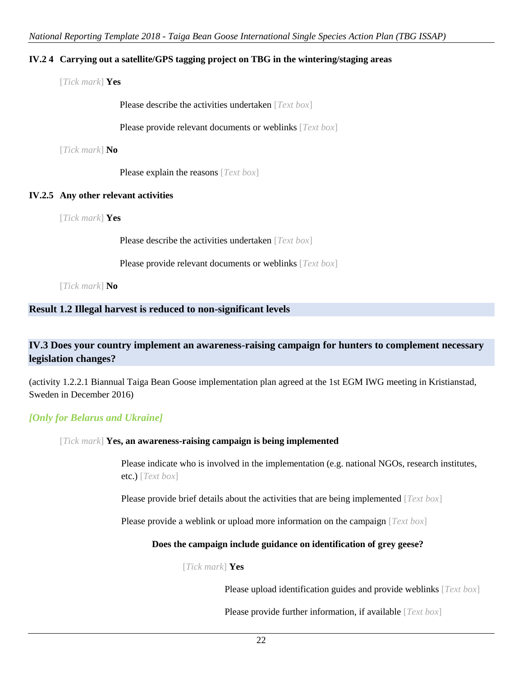# **IV.2 4 Carrying out a satellite/GPS tagging project on TBG in the wintering/staging areas**

[*Tick mark*] **Yes**

Please describe the activities undertaken [*Text box*]

Please provide relevant documents or weblinks [*Text box*]

[*Tick mark*] **No**

Please explain the reasons [*Text box*]

# **IV.2.5 Any other relevant activities**

[*Tick mark*] **Yes**

Please describe the activities undertaken [*Text box*]

Please provide relevant documents or weblinks [*Text box*]

[*Tick mark*] **No**

# **Result 1.2 Illegal harvest is reduced to non-significant levels**

# **IV.3 Does your country implement an awareness-raising campaign for hunters to complement necessary legislation changes?**

(activity 1.2.2.1 Biannual Taiga Bean Goose implementation plan agreed at the 1st EGM IWG meeting in Kristianstad, Sweden in December 2016)

# *[Only for Belarus and Ukraine]*

# [*Tick mark*] **Yes, an awareness-raising campaign is being implemented**

Please indicate who is involved in the implementation (e.g. national NGOs, research institutes, etc.) [*Text box*]

Please provide brief details about the activities that are being implemented [*Text box*]

Please provide a weblink or upload more information on the campaign [*Text box*]

# **Does the campaign include guidance on identification of grey geese?**

#### [*Tick mark*] **Yes**

Please upload identification guides and provide weblinks [*Text box*]

Please provide further information, if available [*Text box*]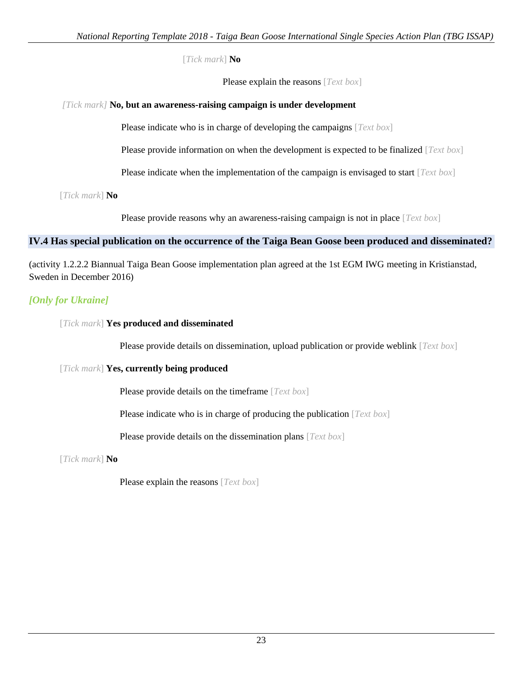[*Tick mark*] **No** 

Please explain the reasons [*Text box*]

# *[Tick mark]* **No, but an awareness-raising campaign is under development**

Please indicate who is in charge of developing the campaigns [*Text box*]

Please provide information on when the development is expected to be finalized [*Text box*]

Please indicate when the implementation of the campaign is envisaged to start [*Text box*]

[*Tick mark*] **No** 

Please provide reasons why an awareness-raising campaign is not in place [*Text box*]

# **IV.4 Has special publication on the occurrence of the Taiga Bean Goose been produced and disseminated?**

(activity 1.2.2.2 Biannual Taiga Bean Goose implementation plan agreed at the 1st EGM IWG meeting in Kristianstad, Sweden in December 2016)

# *[Only for Ukraine]*

[*Tick mark*] **Yes produced and disseminated**

Please provide details on dissemination, upload publication or provide weblink [*Text box*]

# [*Tick mark*] **Yes, currently being produced**

Please provide details on the timeframe [*Text box*]

Please indicate who is in charge of producing the publication [*Text box*]

Please provide details on the dissemination plans [*Text box*]

[*Tick mark*] **No**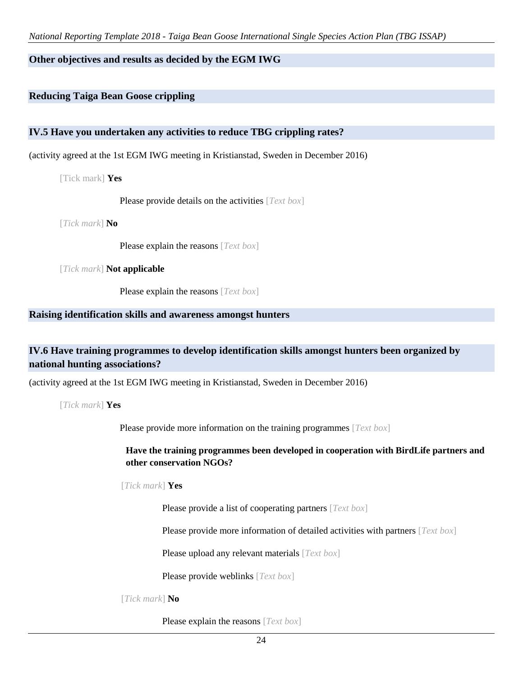# **Other objectives and results as decided by the EGM IWG**

# **Reducing Taiga Bean Goose crippling**

# **IV.5 Have you undertaken any activities to reduce TBG crippling rates?**

(activity agreed at the 1st EGM IWG meeting in Kristianstad, Sweden in December 2016)

[Tick mark] **Yes**

Please provide details on the activities [*Text box*]

[*Tick mark*] **No**

Please explain the reasons [*Text box*]

[*Tick mark*] **Not applicable**

Please explain the reasons [*Text box*]

#### **Raising identification skills and awareness amongst hunters**

# **IV.6 Have training programmes to develop identification skills amongst hunters been organized by national hunting associations?**

(activity agreed at the 1st EGM IWG meeting in Kristianstad, Sweden in December 2016)

[*Tick mark*] **Yes**

Please provide more information on the training programmes [*Text box*]

**Have the training programmes been developed in cooperation with BirdLife partners and other conservation NGOs?** 

[*Tick mark*] **Yes**

Please provide a list of cooperating partners [*Text box*]

Please provide more information of detailed activities with partners [*Text box*]

Please upload any relevant materials [*Text box*]

Please provide weblinks [*Text box*]

[*Tick mark*] **No**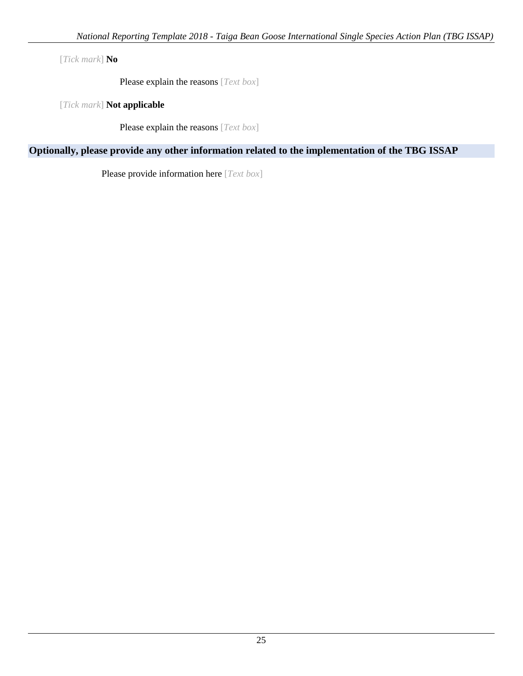[*Tick mark*] **No**

Please explain the reasons [*Text box*]

[*Tick mark*] **Not applicable**

Please explain the reasons [*Text box*]

# **Optionally, please provide any other information related to the implementation of the TBG ISSAP**

Please provide information here [*Text box*]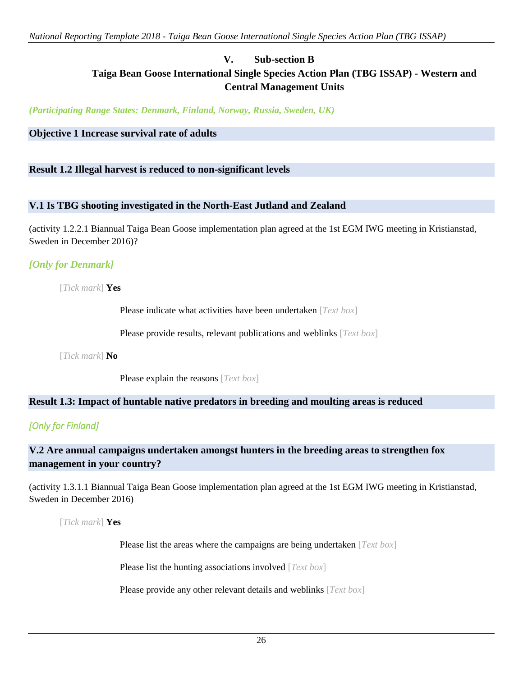# **V. Sub-section B Taiga Bean Goose International Single Species Action Plan (TBG ISSAP) - Western and Central Management Units**

*(Participating Range States: Denmark, Finland, Norway, Russia, Sweden, UK)*

### **Objective 1 Increase survival rate of adults**

### **Result 1.2 Illegal harvest is reduced to non-significant levels**

### **V.1 Is TBG shooting investigated in the North-East Jutland and Zealand**

(activity 1.2.2.1 Biannual Taiga Bean Goose implementation plan agreed at the 1st EGM IWG meeting in Kristianstad, Sweden in December 2016)?

# *[Only for Denmark]*

[*Tick mark*] **Yes**

Please indicate what activities have been undertaken [*Text box*]

Please provide results, relevant publications and weblinks [*Text box*]

[*Tick mark*] **No**

Please explain the reasons [*Text box*]

# **Result 1.3: Impact of huntable native predators in breeding and moulting areas is reduced**

# *[Only for Finland]*

# **V.2 Are annual campaigns undertaken amongst hunters in the breeding areas to strengthen fox management in your country?**

(activity 1.3.1.1 Biannual Taiga Bean Goose implementation plan agreed at the 1st EGM IWG meeting in Kristianstad, Sweden in December 2016)

[*Tick mark*] **Yes** 

Please list the areas where the campaigns are being undertaken [*Text box*]

Please list the hunting associations involved [*Text box*]

Please provide any other relevant details and weblinks [*Text box*]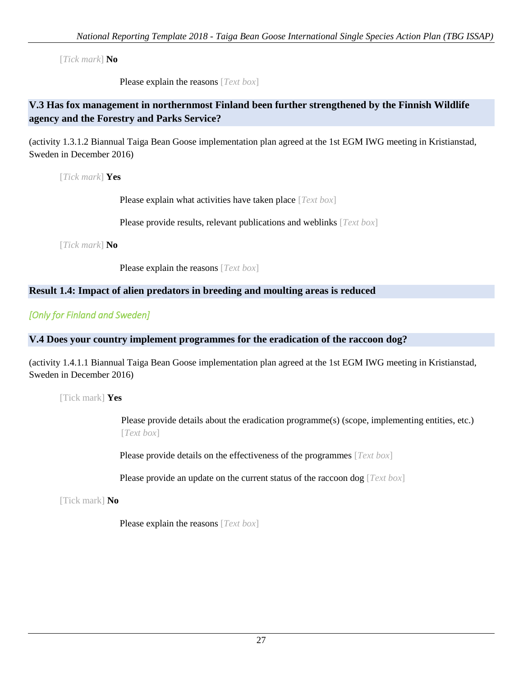[*Tick mark*] **No**

Please explain the reasons [*Text box*]

# **V.3 Has fox management in northernmost Finland been further strengthened by the Finnish Wildlife agency and the Forestry and Parks Service?**

(activity 1.3.1.2 Biannual Taiga Bean Goose implementation plan agreed at the 1st EGM IWG meeting in Kristianstad, Sweden in December 2016)

[*Tick mark*] **Yes**

Please explain what activities have taken place [*Text box*]

Please provide results, relevant publications and weblinks [*Text box*]

[*Tick mark*] **No**

Please explain the reasons [*Text box*]

# **Result 1.4: Impact of alien predators in breeding and moulting areas is reduced**

*[Only for Finland and Sweden]*

# **V.4 Does your country implement programmes for the eradication of the raccoon dog?**

(activity 1.4.1.1 Biannual Taiga Bean Goose implementation plan agreed at the 1st EGM IWG meeting in Kristianstad, Sweden in December 2016)

[Tick mark] **Yes** 

Please provide details about the eradication programme(s) (scope, implementing entities, etc.) [*Text box*]

Please provide details on the effectiveness of the programmes [*Text box*]

Please provide an update on the current status of the raccoon dog [*Text box*]

[Tick mark] **No**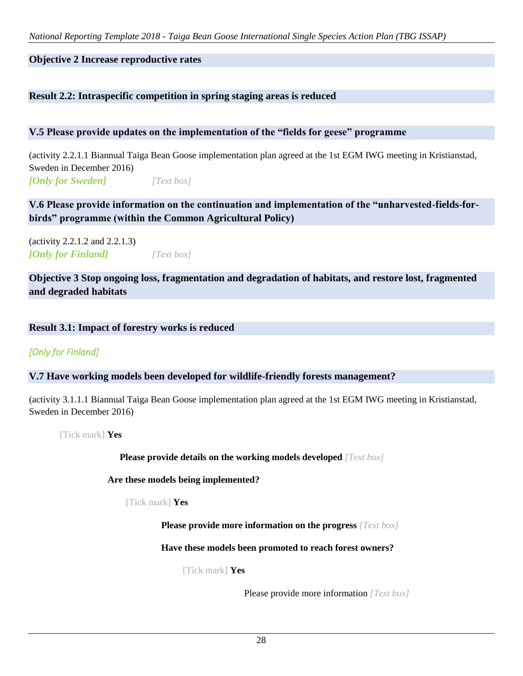# **Objective 2 Increase reproductive rates**

# **Result 2.2: Intraspecific competition in spring staging areas is reduced**

# **V.5 Please provide updates on the implementation of the "fields for geese" programme**

(activity 2.2.1.1 Biannual Taiga Bean Goose implementation plan agreed at the 1st EGM IWG meeting in Kristianstad, Sweden in December 2016) *[Only for Sweden] [Text box]*

**V.6 Please provide information on the continuation and implementation of the "unharvested-fields-forbirds" programme (within the Common Agricultural Policy)**

(activity 2.2.1.2 and 2.2.1.3) *[Only for Finland] [Text box]*

**Objective 3 Stop ongoing loss, fragmentation and degradation of habitats, and restore lost, fragmented and degraded habitats** 

# **Result 3.1: Impact of forestry works is reduced**

# *[Only for Finland]*

# **V.7 Have working models been developed for wildlife-friendly forests management?**

(activity 3.1.1.1 Biannual Taiga Bean Goose implementation plan agreed at the 1st EGM IWG meeting in Kristianstad, Sweden in December 2016)

[Tick mark] **Yes**

**Please provide details on the working models developed** *[Text box]*

**Are these models being implemented?**

[Tick mark] **Yes**

**Please provide more information on the progress** *[Text box]*

**Have these models been promoted to reach forest owners?** 

[Tick mark] **Yes**

Please provide more information *[Text box]*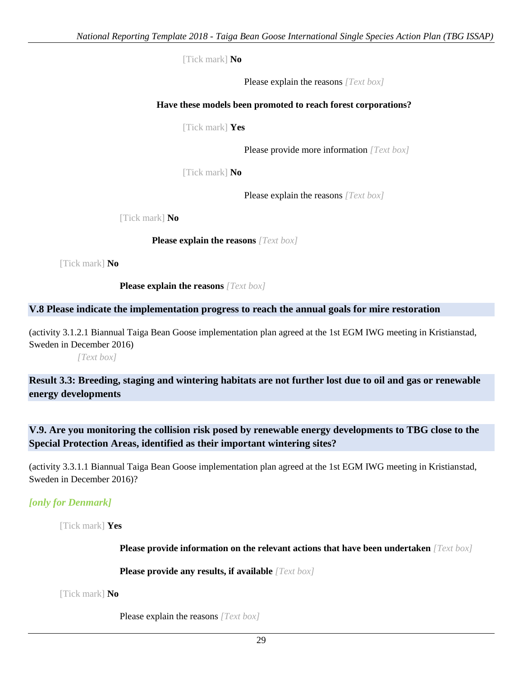[Tick mark] **No**

Please explain the reasons *[Text box]*

### **Have these models been promoted to reach forest corporations?**

[Tick mark] **Yes**

Please provide more information *[Text box]*

[Tick mark] **No**

Please explain the reasons *[Text box]*

[Tick mark] **No**

**Please explain the reasons** *[Text box]*

[Tick mark] **No**

**Please explain the reasons** *[Text box]*

# **V.8 Please indicate the implementation progress to reach the annual goals for mire restoration**

(activity 3.1.2.1 Biannual Taiga Bean Goose implementation plan agreed at the 1st EGM IWG meeting in Kristianstad, Sweden in December 2016)

*[Text box]*

**Result 3.3: Breeding, staging and wintering habitats are not further lost due to oil and gas or renewable energy developments**

# **V.9. Are you monitoring the collision risk posed by renewable energy developments to TBG close to the Special Protection Areas, identified as their important wintering sites?**

(activity 3.3.1.1 Biannual Taiga Bean Goose implementation plan agreed at the 1st EGM IWG meeting in Kristianstad, Sweden in December 2016)?

*[only for Denmark]*

[Tick mark] **Yes**

**Please provide information on the relevant actions that have been undertaken** *[Text box]*

**Please provide any results, if available** *[Text box]*

[Tick mark] **No**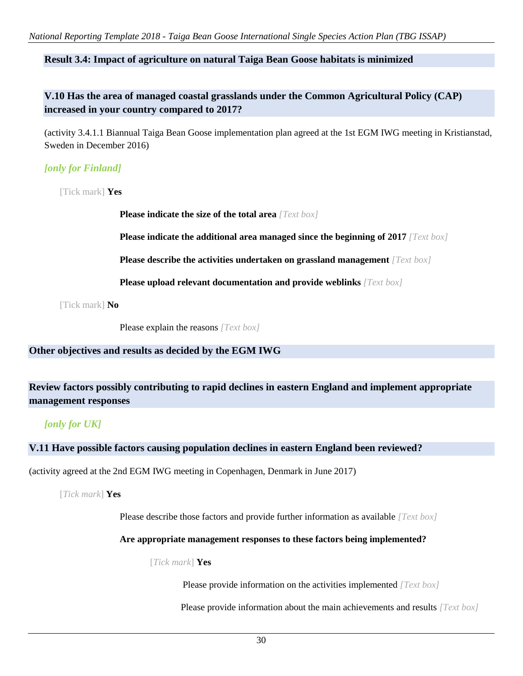*National Reporting Template 2018 - Taiga Bean Goose International Single Species Action Plan (TBG ISSAP)*

# **Result 3.4: Impact of agriculture on natural Taiga Bean Goose habitats is minimized**

**V.10 Has the area of managed coastal grasslands under the Common Agricultural Policy (CAP) increased in your country compared to 2017?**

(activity 3.4.1.1 Biannual Taiga Bean Goose implementation plan agreed at the 1st EGM IWG meeting in Kristianstad, Sweden in December 2016)

# *[only for Finland]*

[Tick mark] **Yes**

**Please indicate the size of the total area** *[Text box]*

**Please indicate the additional area managed since the beginning of 2017** *[Text box]*

**Please describe the activities undertaken on grassland management** *[Text box]*

**Please upload relevant documentation and provide weblinks** *[Text box]*

[Tick mark] **No**

Please explain the reasons *[Text box]*

# **Other objectives and results as decided by the EGM IWG**

# **Review factors possibly contributing to rapid declines in eastern England and implement appropriate management responses**

# *[only for UK]*

# **V.11 Have possible factors causing population declines in eastern England been reviewed?**

(activity agreed at the 2nd EGM IWG meeting in Copenhagen, Denmark in June 2017)

[*Tick mark*] **Yes**

Please describe those factors and provide further information as available *[Text box]*

#### **Are appropriate management responses to these factors being implemented?**

#### [*Tick mark*] **Yes**

Please provide information on the activities implemented *[Text box]*

Please provide information about the main achievements and results *[Text box]*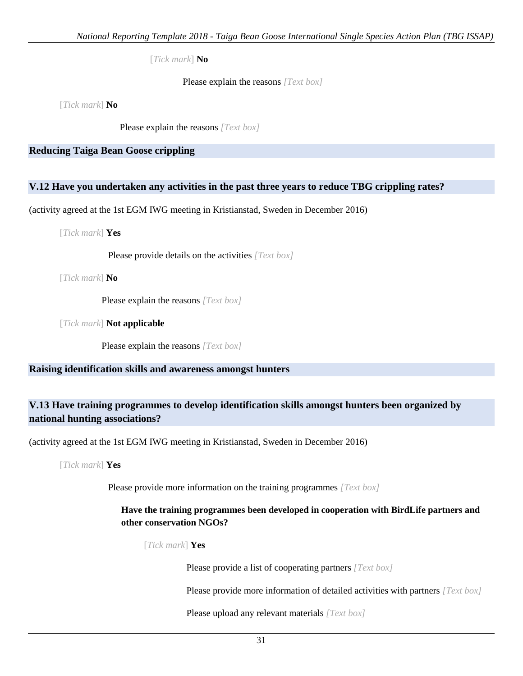[*Tick mark*] **No**

Please explain the reasons *[Text box]*

[*Tick mark*] **No**

Please explain the reasons *[Text box]*

**Reducing Taiga Bean Goose crippling**

# **V.12 Have you undertaken any activities in the past three years to reduce TBG crippling rates?**

(activity agreed at the 1st EGM IWG meeting in Kristianstad, Sweden in December 2016)

[*Tick mark*] **Yes**

Please provide details on the activities *[Text box]*

[*Tick mark*] **No**

Please explain the reasons *[Text box]*

[*Tick mark*] **Not applicable**

Please explain the reasons *[Text box]*

# **Raising identification skills and awareness amongst hunters**

# **V.13 Have training programmes to develop identification skills amongst hunters been organized by national hunting associations?**

(activity agreed at the 1st EGM IWG meeting in Kristianstad, Sweden in December 2016)

[*Tick mark*] **Yes**

Please provide more information on the training programmes *[Text box]*

# **Have the training programmes been developed in cooperation with BirdLife partners and other conservation NGOs?**

[*Tick mark*] **Yes**

Please provide a list of cooperating partners *[Text box]*

Please provide more information of detailed activities with partners *[Text box]*

Please upload any relevant materials *[Text box]*